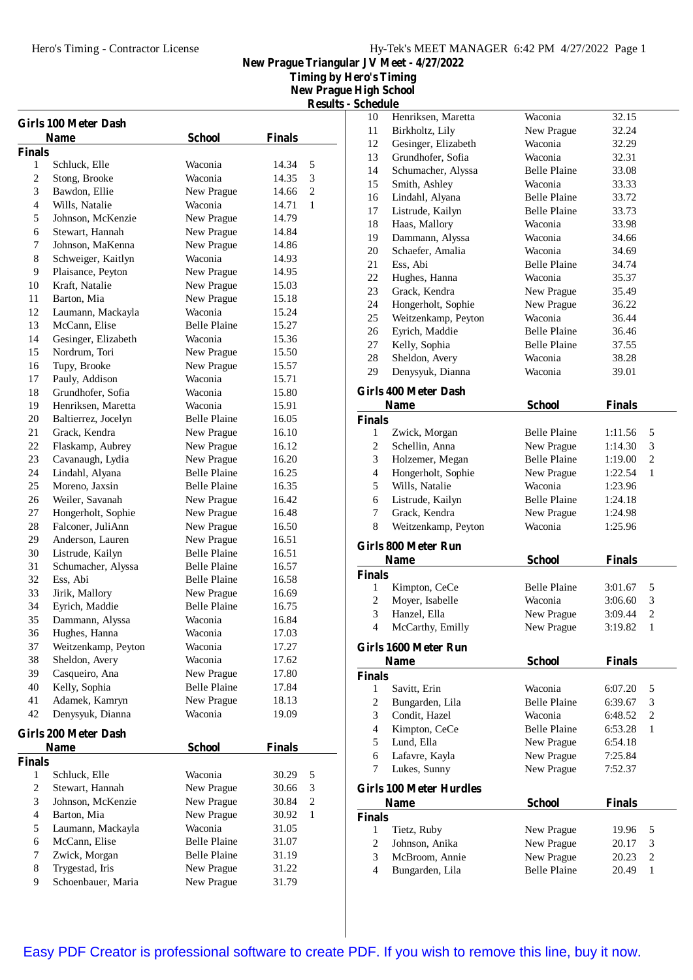**Timing by Hero's Timing**

**New Prague High School Results - Schedule**

| <b>Girls 100 Meter Dash</b><br><b>School</b><br><b>Finals</b><br>Name |                                    |                                            |                |                |
|-----------------------------------------------------------------------|------------------------------------|--------------------------------------------|----------------|----------------|
|                                                                       |                                    |                                            |                |                |
| <b>Finals</b><br>1                                                    | Schluck, Elle                      | Waconia                                    | 14.34          | 5              |
| 2                                                                     | Stong, Brooke                      | Waconia                                    | 14.35          | 3              |
| 3                                                                     | Bawdon, Ellie                      | New Prague                                 | 14.66          | $\overline{c}$ |
| $\overline{\mathcal{L}}$                                              | Wills, Natalie                     | Waconia                                    | 14.71          | $\mathbf{1}$   |
| 5                                                                     | Johnson, McKenzie                  | New Prague                                 | 14.79          |                |
| 6                                                                     | Stewart, Hannah                    | New Prague                                 | 14.84          |                |
| 7                                                                     | Johnson, MaKenna                   | New Prague                                 | 14.86          |                |
| 8                                                                     | Schweiger, Kaitlyn                 | Waconia                                    | 14.93          |                |
| 9                                                                     | Plaisance, Peyton                  | New Prague                                 | 14.95          |                |
| 10                                                                    | Kraft, Natalie                     | New Prague                                 | 15.03          |                |
| 11                                                                    | Barton, Mia                        | New Prague                                 | 15.18          |                |
| 12                                                                    | Laumann, Mackayla                  | Waconia                                    | 15.24          |                |
| 13                                                                    | McCann, Elise                      | <b>Belle Plaine</b>                        | 15.27          |                |
| 14                                                                    | Gesinger, Elizabeth                | Waconia                                    | 15.36          |                |
| 15                                                                    | Nordrum, Tori                      | New Prague                                 | 15.50          |                |
| 16                                                                    | Tupy, Brooke                       | New Prague                                 | 15.57          |                |
| 17                                                                    | Pauly, Addison                     | Waconia                                    | 15.71          |                |
| 18                                                                    | Grundhofer, Sofia                  | Waconia                                    | 15.80          |                |
| 19                                                                    | Henriksen, Maretta                 | Waconia                                    | 15.91          |                |
| 20                                                                    | Baltierrez, Jocelyn                | <b>Belle Plaine</b>                        | 16.05          |                |
| 21                                                                    | Grack, Kendra                      | New Prague                                 | 16.10          |                |
| 22                                                                    | Flaskamp, Aubrey                   | New Prague                                 | 16.12          |                |
| 23                                                                    | Cavanaugh, Lydia                   | New Prague                                 | 16.20          |                |
| 24<br>25                                                              | Lindahl, Alyana<br>Moreno, Jaxsin  | <b>Belle Plaine</b><br><b>Belle Plaine</b> | 16.25          |                |
| 26                                                                    | Weiler, Savanah                    | New Prague                                 | 16.35<br>16.42 |                |
| 27                                                                    | Hongerholt, Sophie                 | New Prague                                 | 16.48          |                |
| 28                                                                    | Falconer, JuliAnn                  | New Prague                                 | 16.50          |                |
| 29                                                                    | Anderson, Lauren                   | New Prague                                 | 16.51          |                |
| 30                                                                    | Listrude, Kailyn                   | <b>Belle Plaine</b>                        | 16.51          |                |
| 31                                                                    | Schumacher, Alyssa                 | <b>Belle Plaine</b>                        | 16.57          |                |
| 32                                                                    | Ess, Abi                           | <b>Belle Plaine</b>                        | 16.58          |                |
| 33                                                                    | Jirik, Mallory                     | New Prague                                 | 16.69          |                |
| 34                                                                    | Eyrich, Maddie                     | <b>Belle Plaine</b>                        | 16.75          |                |
| 35                                                                    | Dammann, Alyssa                    | Waconia                                    | 16.84          |                |
| 36                                                                    | Hughes, Hanna                      | Waconia                                    | 17.03          |                |
| 37                                                                    | Weitzenkamp, Peyton                | Waconia                                    | 17.27          |                |
| 38                                                                    | Sheldon, Avery                     | Waconia                                    | 17.62          |                |
| 39                                                                    | Casqueiro, Ana                     | New Prague                                 | 17.80          |                |
| 40                                                                    | Kelly, Sophia                      | <b>Belle Plaine</b>                        | 17.84          |                |
| 41                                                                    | Adamek, Kamryn                     | New Prague                                 | 18.13          |                |
| 42                                                                    | Denysyuk, Dianna                   | Waconia                                    | 19.09          |                |
|                                                                       | <b>Girls 200 Meter Dash</b>        |                                            |                |                |
|                                                                       | <b>Name</b>                        | <b>School</b>                              | <b>Finals</b>  |                |
| <b>Finals</b>                                                         |                                    |                                            |                |                |
| 1                                                                     | Schluck, Elle                      | Waconia                                    | 30.29          | 5              |
| $\overline{c}$                                                        | Stewart, Hannah                    | New Prague                                 | 30.66          | 3              |
| 3                                                                     | Johnson, McKenzie                  | New Prague                                 | 30.84          | 2              |
| 4<br>5                                                                | Barton, Mia                        | New Prague<br>Waconia                      | 30.92          | 1              |
| 6                                                                     | Laumann, Mackayla<br>McCann, Elise | <b>Belle Plaine</b>                        | 31.05<br>31.07 |                |
| 7                                                                     | Zwick, Morgan                      | <b>Belle Plaine</b>                        | 31.19          |                |
| 8                                                                     | Trygestad, Iris                    | New Prague                                 | 31.22          |                |
| 9                                                                     | Schoenbauer, Maria                 | New Prague                                 | 31.79          |                |
|                                                                       |                                    |                                            |                |                |

| 10             | Henriksen, Maretta             | Waconia             | 32.15         |                |
|----------------|--------------------------------|---------------------|---------------|----------------|
| 11             | Birkholtz, Lily                | New Prague          | 32.24         |                |
| 12             | Gesinger, Elizabeth            | Waconia             | 32.29         |                |
| 13             | Grundhofer, Sofia              | Waconia             | 32.31         |                |
| 14             | Schumacher, Alyssa             | <b>Belle Plaine</b> | 33.08         |                |
| 15             | Smith, Ashley                  | Waconia             | 33.33         |                |
| 16             | Lindahl, Alyana                | <b>Belle Plaine</b> | 33.72         |                |
| 17             | Listrude, Kailyn               | <b>Belle Plaine</b> | 33.73         |                |
| 18             | Haas, Mallory                  | Waconia             | 33.98         |                |
| 19             | Dammann, Alyssa                | Waconia             | 34.66         |                |
| 20             | Schaefer, Amalia               | Waconia             |               |                |
|                |                                |                     | 34.69         |                |
| 21             | Ess, Abi                       | <b>Belle Plaine</b> | 34.74         |                |
| 22             | Hughes, Hanna                  | Waconia             | 35.37         |                |
| 23             | Grack, Kendra                  | New Prague          | 35.49         |                |
| 24             | Hongerholt, Sophie             | New Prague          | 36.22         |                |
| 25             | Weitzenkamp, Peyton            | Waconia             | 36.44         |                |
| 26             | Eyrich, Maddie                 | <b>Belle Plaine</b> | 36.46         |                |
| 27             | Kelly, Sophia                  | <b>Belle Plaine</b> | 37.55         |                |
| 28             | Sheldon, Avery                 | Waconia             | 38.28         |                |
| 29             | Denysyuk, Dianna               | Waconia             | 39.01         |                |
|                |                                |                     |               |                |
|                | <b>Girls 400 Meter Dash</b>    |                     |               |                |
|                | <b>Name</b>                    | <b>School</b>       | <b>Finals</b> |                |
| <b>Finals</b>  |                                |                     |               |                |
| 1              | Zwick, Morgan                  | <b>Belle Plaine</b> | 1:11.56       | 5              |
| 2              | Schellin, Anna                 | New Prague          | 1:14.30       | 3              |
| 3              | Holzemer, Megan                | <b>Belle Plaine</b> | 1:19.00       | $\mathfrak{2}$ |
| $\overline{4}$ | Hongerholt, Sophie             | New Prague          | 1:22.54       | 1              |
| 5              | Wills, Natalie                 | Waconia             | 1:23.96       |                |
| 6              | Listrude, Kailyn               | <b>Belle Plaine</b> | 1:24.18       |                |
|                |                                |                     |               |                |
|                |                                |                     |               |                |
| 7              | Grack, Kendra                  | New Prague          | 1:24.98       |                |
| 8              | Weitzenkamp, Peyton            | Waconia             | 1:25.96       |                |
|                | <b>Girls 800 Meter Run</b>     |                     |               |                |
|                | <b>Name</b>                    |                     |               |                |
|                |                                | <b>School</b>       | <b>Finals</b> |                |
| <b>Finals</b>  |                                |                     |               |                |
| 1              | Kimpton, CeCe                  | <b>Belle Plaine</b> | 3:01.67       | 5              |
| 2              | Moyer, Isabelle                | Waconia             | 3:06.60       | 3              |
| 3              | Hanzel, Ella                   | New Prague          | 3:09.44       | $\overline{c}$ |
| 4              | McCarthy, Emilly               | New Prague          | 3:19.82       | 1              |
|                |                                |                     |               |                |
|                | Girls 1600 Meter Run           |                     |               |                |
|                | Name                           | <b>School</b>       | <b>Finals</b> |                |
| <b>Finals</b>  |                                |                     |               |                |
| 1              | Savitt, Erin                   | Waconia             | 6:07.20       | 5              |
| $\overline{c}$ | Bungarden, Lila                | <b>Belle Plaine</b> | 6:39.67       | 3              |
| 3              | Condit, Hazel                  | Waconia             | 6:48.52       | 2              |
| $\overline{4}$ | Kimpton, CeCe                  | <b>Belle Plaine</b> | 6:53.28       | 1              |
| 5              | Lund, Ella                     | New Prague          | 6:54.18       |                |
| 6              | Lafavre, Kayla                 | New Prague          | 7:25.84       |                |
| 7              | Lukes, Sunny                   | New Prague          | 7:52.37       |                |
|                |                                |                     |               |                |
|                | <b>Girls 100 Meter Hurdles</b> |                     |               |                |
|                | Name                           | <b>School</b>       | <b>Finals</b> |                |
| <b>Finals</b>  |                                |                     |               |                |
| 1              | Tietz, Ruby                    | New Prague          | 19.96         | 5              |
| 2              | Johnson, Anika                 | New Prague          | 20.17         | 3              |
| 3              | McBroom, Annie                 | New Prague          | 20.23         | 2              |
| 4              | Bungarden, Lila                | <b>Belle Plaine</b> | 20.49         | 1              |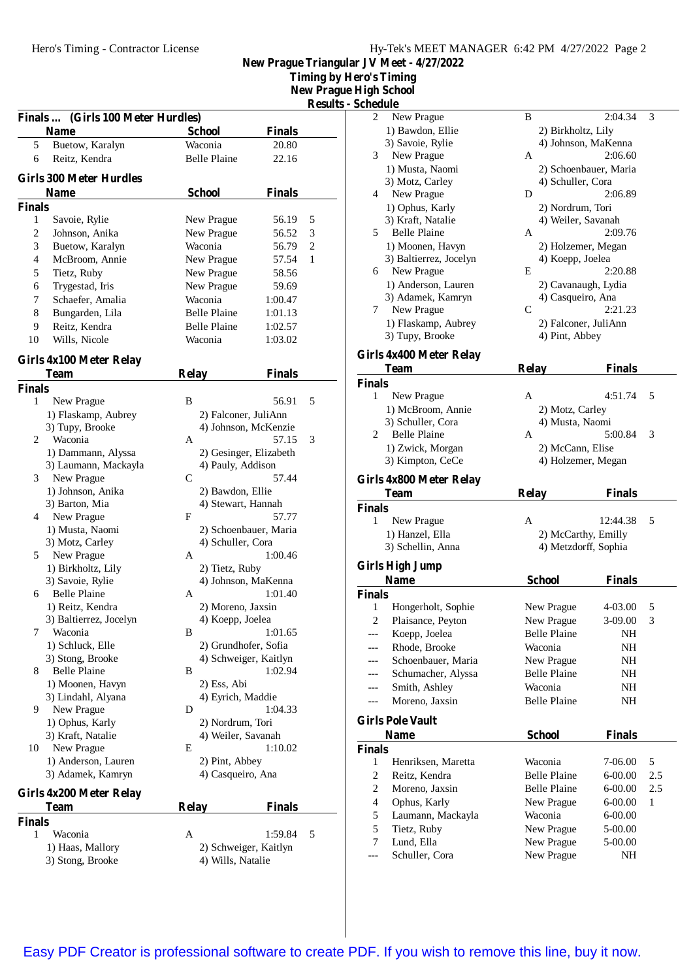**Timing by Hero's Timing**

**New Prague High School Results - Schedule**

|                |                                            |                        |                        | <b>Kesuits -</b> |
|----------------|--------------------------------------------|------------------------|------------------------|------------------|
|                | (Girls 100 Meter Hurdles)<br><b>Finals</b> |                        |                        |                  |
|                | Name                                       | <b>School</b>          | <b>Finals</b>          |                  |
| 5              | Buetow, Karalyn                            | Waconia                | 20.80                  |                  |
| 6              | Reitz, Kendra                              | <b>Belle Plaine</b>    | 22.16                  |                  |
|                | <b>Girls 300 Meter Hurdles</b>             |                        |                        |                  |
|                | Name                                       | <b>School</b>          | <b>Finals</b>          |                  |
| <b>Finals</b>  |                                            |                        |                        |                  |
| 1              | Savoie, Rylie                              | New Prague             | 56.19                  | 5                |
| $\mathfrak{2}$ | Johnson, Anika                             | New Prague             | 56.52                  | 3                |
| 3              | Buetow, Karalyn                            | Waconia                | 56.79                  | $\mathfrak{2}$   |
| 4              | McBroom, Annie                             | New Prague             | 57.54                  | 1                |
| 5              | Tietz, Ruby                                | New Prague             | 58.56                  |                  |
| 6              | Trygestad, Iris                            | New Prague             | 59.69                  |                  |
| 7              | Schaefer, Amalia                           | Waconia                | 1:00.47                |                  |
| 8              | Bungarden, Lila                            | <b>Belle Plaine</b>    | 1:01.13                |                  |
| 9              | Reitz, Kendra                              | <b>Belle Plaine</b>    | 1:02.57                |                  |
| 10             | Wills, Nicole                              | Waconia                | 1:03.02                |                  |
|                |                                            |                        |                        |                  |
|                | Girls 4x100 Meter Relay                    |                        |                        |                  |
|                | Team                                       | <b>Relay</b>           | <b>Finals</b>          |                  |
| <b>Finals</b>  |                                            |                        |                        |                  |
| 1              | New Prague                                 | B                      | 56.91                  | 5                |
|                | 1) Flaskamp, Aubrey                        | 2) Falconer, JuliAnn   |                        |                  |
|                | 3) Tupy, Brooke                            |                        | 4) Johnson, McKenzie   |                  |
| 2              | Waconia                                    | A                      | 57.15                  | 3                |
|                | 1) Dammann, Alyssa                         |                        | 2) Gesinger, Elizabeth |                  |
|                | 3) Laumann, Mackayla                       | 4) Pauly, Addison      |                        |                  |
| 3              | New Prague                                 | $\mathsf{C}$           | 57.44                  |                  |
|                | 1) Johnson, Anika                          | 2) Bawdon, Ellie       |                        |                  |
|                | 3) Barton, Mia                             | 4) Stewart, Hannah     |                        |                  |
| 4              | New Prague                                 | F                      | 57.77                  |                  |
|                | 1) Musta, Naomi                            |                        | 2) Schoenbauer, Maria  |                  |
| 5              | 3) Motz, Carley                            | 4) Schuller, Cora<br>A | 1:00.46                |                  |
|                | New Prague<br>1) Birkholtz, Lily           |                        |                        |                  |
|                | 3) Savoie, Rylie                           | 2) Tietz, Ruby         | 4) Johnson, MaKenna    |                  |
| 6              | <b>Belle Plaine</b>                        | A                      | 1:01.40                |                  |
|                | 1) Reitz, Kendra                           | 2) Moreno, Jaxsin      |                        |                  |
|                | 3) Baltierrez, Jocelyn                     | 4) Koepp, Joelea       |                        |                  |
| 7              | Waconia                                    | B                      | 1:01.65                |                  |
|                | 1) Schluck, Elle                           | 2) Grundhofer, Sofia   |                        |                  |
|                | 3) Stong, Brooke                           |                        | 4) Schweiger, Kaitlyn  |                  |
| 8              | Belle Plaine                               | В                      | 1:02.94                |                  |
|                | 1) Moonen, Havyn                           | 2) Ess, Abi            |                        |                  |
|                | 3) Lindahl, Alyana                         | 4) Eyrich, Maddie      |                        |                  |
| 9              | New Prague                                 | D                      | 1:04.33                |                  |
|                | 1) Ophus, Karly                            | 2) Nordrum, Tori       |                        |                  |
|                | 3) Kraft, Natalie                          | 4) Weiler, Savanah     |                        |                  |
| 10             | New Prague                                 | Е                      | 1:10.02                |                  |
|                | 1) Anderson, Lauren                        | 2) Pint, Abbey         |                        |                  |
|                | 3) Adamek, Kamryn                          | 4) Casqueiro, Ana      |                        |                  |
|                | Girls 4x200 Meter Relay                    |                        |                        |                  |
|                | <b>Team</b>                                | <b>Relay</b>           | <b>Finals</b>          |                  |
| <b>Finals</b>  |                                            |                        |                        |                  |
| 1              | Waconia                                    | А                      | 1:59.84                | 5                |
|                | 1) Haas, Mallory                           |                        | 2) Schweiger, Kaitlyn  |                  |
|                | 3) Stong, Brooke                           | 4) Wills, Natalie      |                        |                  |
|                |                                            |                        |                        |                  |

| 2                  | New Prague                               | B                        | 2:04.34               | 3   |
|--------------------|------------------------------------------|--------------------------|-----------------------|-----|
|                    | 1) Bawdon, Ellie                         | 2) Birkholtz, Lily       |                       |     |
|                    | 3) Savoie, Rylie                         |                          | 4) Johnson, MaKenna   |     |
| 3                  | New Prague                               | A                        | 2:06.60               |     |
|                    | 1) Musta, Naomi                          |                          | 2) Schoenbauer, Maria |     |
|                    | 3) Motz, Carley                          | 4) Schuller, Cora        |                       |     |
| 4                  | New Prague                               | D                        | 2:06.89               |     |
|                    | 1) Ophus, Karly                          | 2) Nordrum, Tori         |                       |     |
|                    | 3) Kraft, Natalie                        | 4) Weiler, Savanah       |                       |     |
| 5                  | <b>Belle Plaine</b>                      | А                        | 2:09.76               |     |
|                    | 1) Moonen, Havyn                         | 2) Holzemer, Megan       |                       |     |
|                    | 3) Baltierrez, Jocelyn                   | 4) Koepp, Joelea         | 2:20.88               |     |
| 6                  | New Prague                               | E                        |                       |     |
|                    | 1) Anderson, Lauren<br>3) Adamek, Kamryn | 4) Casqueiro, Ana        | 2) Cavanaugh, Lydia   |     |
| 7                  | New Prague                               | $\mathsf{C}$             | 2:21.23               |     |
|                    | 1) Flaskamp, Aubrey                      | 2) Falconer, JuliAnn     |                       |     |
|                    | 3) Tupy, Brooke                          | 4) Pint, Abbey           |                       |     |
|                    |                                          |                          |                       |     |
|                    | Girls 4x400 Meter Relay<br><b>Team</b>   |                          |                       |     |
| <b>Finals</b>      |                                          | <u>Relay</u>             | Finals                |     |
| $\mathbf{1}$       | New Prague                               | A                        | 4:51.74               | 5   |
|                    | 1) McBroom, Annie                        | 2) Motz, Carley          |                       |     |
|                    | 3) Schuller, Cora                        | 4) Musta, Naomi          |                       |     |
| 2                  | <b>Belle Plaine</b>                      | A                        | 5:00.84               | 3   |
|                    | 1) Zwick, Morgan                         | 2) McCann, Elise         |                       |     |
|                    | 3) Kimpton, CeCe                         | 4) Holzemer, Megan       |                       |     |
|                    | Girls 4x800 Meter Relay                  |                          |                       |     |
|                    |                                          |                          |                       |     |
|                    |                                          |                          |                       |     |
|                    | <b>Team</b>                              | <b>Relay</b>             | Finals                |     |
| <b>Finals</b><br>1 |                                          | A                        | 12:44.38              | 5   |
|                    | New Prague<br>1) Hanzel, Ella            |                          | 2) McCarthy, Emilly   |     |
|                    | 3) Schellin, Anna                        |                          | 4) Metzdorff, Sophia  |     |
|                    |                                          |                          |                       |     |
|                    | <b>Girls High Jump</b><br><b>Name</b>    | School                   | Finals                |     |
| Finals             |                                          |                          |                       |     |
| 1                  | Hongerholt, Sophie                       | New Prague               | 4-03.00               | 5   |
| 2                  | Plaisance, Peyton                        | New Prague               | 3-09.00               | 3   |
|                    | Koepp, Joelea                            | <b>Belle Plaine</b>      | NH                    |     |
|                    | Rhode, Brooke                            | Waconia                  | NH                    |     |
| ---                | Schoenbauer, Maria                       | New Prague               | NH                    |     |
| ---                | Schumacher, Alyssa                       | <b>Belle Plaine</b>      | NH                    |     |
| ---                | Smith, Ashley                            | Waconia                  | NH                    |     |
| ---                | Moreno, Jaxsin                           | <b>Belle Plaine</b>      | NH                    |     |
|                    | <b>Girls Pole Vault</b>                  |                          |                       |     |
|                    | Name                                     | <b>School</b>            | <b>Finals</b>         |     |
| <b>Finals</b>      |                                          |                          |                       |     |
| 1                  | Henriksen, Maretta                       | Waconia                  | 7-06.00               | 5   |
| 2                  | Reitz, Kendra                            | <b>Belle Plaine</b>      | 6-00.00               | 2.5 |
| 2                  | Moreno, Jaxsin                           | <b>Belle Plaine</b>      | 6-00.00               | 2.5 |
| $\overline{4}$     | Ophus, Karly                             | New Prague               | 6-00.00               | 1   |
| 5                  | Laumann, Mackayla                        | Waconia                  | $6 - 00.00$           |     |
| 5                  | Tietz, Ruby                              | New Prague               | 5-00.00               |     |
| 7<br>---           | Lund, Ella<br>Schuller, Cora             | New Prague<br>New Prague | 5-00.00<br>NH         |     |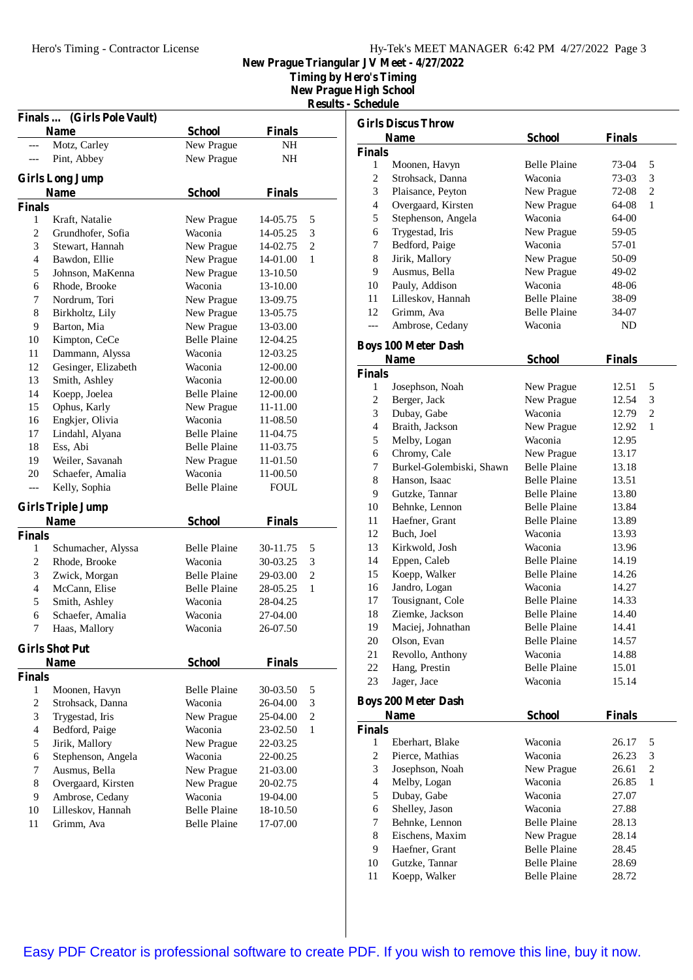**Timing by Hero's Timing**

**New Prague High School**

**Results - Schedule**

|                          | Finals  (Girls Pole Vault) |                     |               |                |
|--------------------------|----------------------------|---------------------|---------------|----------------|
|                          | <b>Name</b>                | <b>School</b>       | <b>Finals</b> |                |
|                          | Motz, Carley               | New Prague          | NH            |                |
|                          | Pint, Abbey                | New Prague          | NH            |                |
|                          | <b>Girls Long Jump</b>     |                     |               |                |
|                          | <b>Name</b>                | <b>School</b>       | <b>Finals</b> |                |
| <b>Finals</b>            |                            |                     |               |                |
| 1                        | Kraft, Natalie             | New Prague          | 14-05.75      | 5              |
| 2                        | Grundhofer, Sofia          | Waconia             | 14-05.25      | 3              |
| 3                        | Stewart, Hannah            | New Prague          | 14-02.75      | $\overline{c}$ |
| 4                        | Bawdon, Ellie              | New Prague          | 14-01.00      | 1              |
| 5                        | Johnson, MaKenna           | New Prague          | 13-10.50      |                |
| 6                        | Rhode, Brooke              | Waconia             | 13-10.00      |                |
| 7                        | Nordrum, Tori              | New Prague          | 13-09.75      |                |
| 8                        | Birkholtz, Lily            | New Prague          | 13-05.75      |                |
| 9                        | Barton, Mia                | New Prague          | 13-03.00      |                |
| 10                       | Kimpton, CeCe              | <b>Belle Plaine</b> | 12-04.25      |                |
| 11                       | Dammann, Alyssa            | Waconia             | 12-03.25      |                |
| 12                       | Gesinger, Elizabeth        | Waconia             | 12-00.00      |                |
| 13                       | Smith, Ashley              | Waconia             | 12-00.00      |                |
| 14                       | Koepp, Joelea              | <b>Belle Plaine</b> | 12-00.00      |                |
| 15                       | Ophus, Karly               | New Prague          | 11-11.00      |                |
| 16                       | Engkjer, Olivia            | Waconia             | 11-08.50      |                |
| 17                       | Lindahl, Alyana            | <b>Belle Plaine</b> | 11-04.75      |                |
| 18                       | Ess. Abi                   | <b>Belle Plaine</b> | 11-03.75      |                |
| 19                       | Weiler, Savanah            | New Prague          | 11-01.50      |                |
| 20                       | Schaefer, Amalia           | Waconia             | 11-00.50      |                |
| ---                      | Kelly, Sophia              | <b>Belle Plaine</b> | <b>FOUL</b>   |                |
|                          |                            |                     |               |                |
|                          | <b>Girls Triple Jump</b>   |                     |               |                |
|                          | <b>Name</b>                | <b>School</b>       | <b>Finals</b> |                |
| <b>Finals</b>            |                            |                     |               |                |
| 1                        | Schumacher, Alyssa         | <b>Belle Plaine</b> | 30-11.75      | 5              |
| 2                        | Rhode, Brooke              | Waconia             | 30-03.25      | 3              |
| 3                        | Zwick, Morgan              | <b>Belle Plaine</b> | 29-03.00      | $\overline{2}$ |
| $\overline{\mathcal{L}}$ | McCann, Elise              | <b>Belle Plaine</b> | 28-05.25      | 1              |
| 5                        | Smith, Ashley              | Waconia             | 28-04.25      |                |
| 6                        | Schaefer, Amalia           | Waconia             | 27-04.00      |                |
| 7                        | Haas, Mallory              | Waconia             | 26-07.50      |                |
|                          | <b>Girls Shot Put</b>      |                     |               |                |
|                          | <b>Name</b>                | <b>School</b>       | <b>Finals</b> |                |
| <b>Finals</b>            |                            |                     |               |                |
| 1                        | Moonen, Havyn              | <b>Belle Plaine</b> | 30-03.50      | 5              |
| $\overline{c}$           | Strohsack, Danna           | Waconia             | 26-04.00      | 3              |
| 3                        | Trygestad, Iris            | New Prague          | 25-04.00      | $\overline{c}$ |
| $\overline{\mathcal{L}}$ | Bedford, Paige             | Waconia             | 23-02.50      | 1              |
| 5                        | Jirik, Mallory             | New Prague          | 22-03.25      |                |
| 6                        | Stephenson, Angela         | Waconia             | 22-00.25      |                |
| 7                        | Ausmus, Bella              | New Prague          | 21-03.00      |                |
| 8                        | Overgaard, Kirsten         | New Prague          | 20-02.75      |                |
| 9                        | Ambrose, Cedany            | Waconia             | 19-04.00      |                |
| 10                       | Lilleskov, Hannah          | <b>Belle Plaine</b> | 18-10.50      |                |
| 11                       | Grimm, Ava                 | <b>Belle Plaine</b> | 17-07.00      |                |
|                          |                            |                     |               |                |

| <b>Girls Discus Throw</b> |                            |                     |               |                |  |
|---------------------------|----------------------------|---------------------|---------------|----------------|--|
|                           | <b>Name</b>                | <b>School</b>       | <b>Finals</b> |                |  |
| <b>Finals</b>             |                            |                     |               |                |  |
| 1                         | Moonen, Havyn              | <b>Belle Plaine</b> | 73-04         | 5              |  |
| 2                         | Strohsack, Danna           | Waconia             | 73-03         | 3              |  |
| 3                         | Plaisance, Peyton          | New Prague          | 72-08         | 2              |  |
| 4                         | Overgaard, Kirsten         | New Prague          | 64-08         | 1              |  |
| 5                         | Stephenson, Angela         | Waconia             | 64-00         |                |  |
| 6                         | Trygestad, Iris            | New Prague          | 59-05         |                |  |
| 7                         | Bedford, Paige             | Waconia             | 57-01         |                |  |
| 8                         | Jirik, Mallory             | New Prague          | 50-09         |                |  |
| 9                         | Ausmus, Bella              | New Prague          | 49-02         |                |  |
| 10                        | Pauly, Addison             | Waconia             | 48-06         |                |  |
| 11                        | Lilleskov, Hannah          | <b>Belle Plaine</b> | 38-09         |                |  |
| 12                        | Grimm, Ava                 | <b>Belle Plaine</b> | 34-07         |                |  |
| ---                       | Ambrose, Cedany            | Waconia             | <b>ND</b>     |                |  |
|                           | <b>Boys 100 Meter Dash</b> |                     |               |                |  |
|                           | <b>Name</b>                | <b>School</b>       | <b>Finals</b> |                |  |
| <b>Finals</b>             |                            |                     |               |                |  |
| 1                         | Josephson, Noah            | New Prague          | 12.51         | 5              |  |
| $\overline{c}$            | Berger, Jack               | New Prague          | 12.54         | 3              |  |
| 3                         | Dubay, Gabe                | Waconia             | 12.79         | 2              |  |
| 4                         | Braith, Jackson            | New Prague          | 12.92         | 1              |  |
| 5                         | Melby, Logan               | Waconia             | 12.95         |                |  |
| 6                         | Chromy, Cale               | New Prague          | 13.17         |                |  |
| 7                         | Burkel-Golembiski, Shawn   | <b>Belle Plaine</b> | 13.18         |                |  |
| 8                         | Hanson, Isaac              | <b>Belle Plaine</b> | 13.51         |                |  |
| 9                         | Gutzke, Tannar             | <b>Belle Plaine</b> | 13.80         |                |  |
| 10                        | Behnke, Lennon             | <b>Belle Plaine</b> | 13.84         |                |  |
| 11                        | Haefner, Grant             | <b>Belle Plaine</b> | 13.89         |                |  |
| 12                        | Buch, Joel                 | Waconia             | 13.93         |                |  |
| 13                        | Kirkwold, Josh             | Waconia             | 13.96         |                |  |
| 14                        | Eppen, Caleb               | <b>Belle Plaine</b> | 14.19         |                |  |
| 15                        | Koepp, Walker              | <b>Belle Plaine</b> | 14.26         |                |  |
| 16                        | Jandro, Logan              | Waconia             | 14.27         |                |  |
| 17                        | Tousignant, Cole           | <b>Belle Plaine</b> | 14.33         |                |  |
| 18                        | Ziemke, Jackson            | <b>Belle Plaine</b> | 14.40         |                |  |
| 19                        | Maciej, Johnathan          | <b>Belle Plaine</b> | 14.41         |                |  |
| 20                        | Olson, Evan                | <b>Belle Plaine</b> | 14.57         |                |  |
| 21                        | Revollo, Anthony           | Waconia             | 14.88         |                |  |
| 22                        | Hang, Prestin              | <b>Belle Plaine</b> | 15.01         |                |  |
| 23                        | Jager, Jace                | Waconia             | 15.14         |                |  |
|                           |                            |                     |               |                |  |
|                           | <b>Boys 200 Meter Dash</b> |                     |               |                |  |
| <b>Finals</b>             | <b>Name</b>                | <b>School</b>       | <b>Finals</b> |                |  |
| 1                         | Eberhart, Blake            | Waconia             | 26.17         | 5              |  |
| $\overline{c}$            | Pierce, Mathias            | Waconia             | 26.23         | 3              |  |
| 3                         | Josephson, Noah            | New Prague          | 26.61         | $\overline{c}$ |  |
| $\overline{4}$            | Melby, Logan               | Waconia             | 26.85         | 1              |  |
| 5                         | Dubay, Gabe                | Waconia             | 27.07         |                |  |
| 6                         | Shelley, Jason             | Waconia             | 27.88         |                |  |
| 7                         | Behnke, Lennon             | <b>Belle Plaine</b> | 28.13         |                |  |
| 8                         | Eischens, Maxim            | New Prague          | 28.14         |                |  |
| 9                         | Haefner, Grant             | <b>Belle Plaine</b> | 28.45         |                |  |

10 Gutzke, Tannar Belle Plaine 28.69 11 Koepp, Walker Belle Plaine 28.72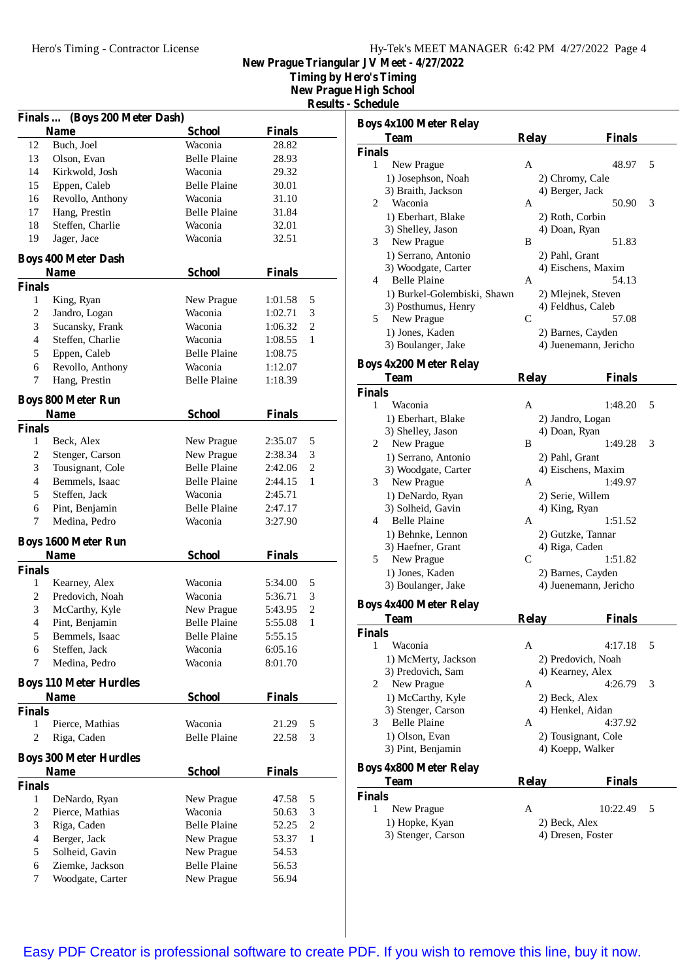**Timing by Hero's Timing**

**New Prague High School**

**Results** - Sc

| Finals  (Boys 200 Meter Dash)                 |                               |                     |               |                |  |
|-----------------------------------------------|-------------------------------|---------------------|---------------|----------------|--|
|                                               | <b>Name</b>                   | <b>School</b>       | Finals        |                |  |
| 12                                            | Buch, Joel                    | Waconia             | 28.82         |                |  |
| 13                                            | Olson, Evan                   | <b>Belle Plaine</b> | 28.93         |                |  |
| 14                                            | Kirkwold, Josh                | Waconia             | 29.32         |                |  |
| 15                                            | Eppen, Caleb                  | <b>Belle Plaine</b> | 30.01         |                |  |
| 16                                            | Revollo, Anthony              | Waconia             | 31.10         |                |  |
| 17                                            | Hang, Prestin                 | <b>Belle Plaine</b> | 31.84         |                |  |
| 18                                            | Steffen, Charlie              | Waconia             | 32.01         |                |  |
| 19                                            | Jager, Jace                   | Waconia             | 32.51         |                |  |
|                                               | <b>Boys 400 Meter Dash</b>    |                     |               |                |  |
| <b>School</b><br><b>Finals</b><br><b>Name</b> |                               |                     |               |                |  |
| <b>Finals</b>                                 |                               |                     |               |                |  |
| 1                                             | King, Ryan                    | New Prague          | 1:01.58       | 5              |  |
| 2                                             | Jandro, Logan                 | Waconia             | 1:02.71       | 3              |  |
| 3                                             | Sucansky, Frank               | Waconia             | 1:06.32       | $\overline{2}$ |  |
| 4                                             | Steffen, Charlie              | Waconia             | 1:08.55       | 1              |  |
| 5                                             | Eppen, Caleb                  | <b>Belle Plaine</b> | 1:08.75       |                |  |
| 6                                             | Revollo, Anthony              | Waconia             | 1:12.07       |                |  |
| 7                                             | Hang, Prestin                 | <b>Belle Plaine</b> | 1:18.39       |                |  |
|                                               | <b>Boys 800 Meter Run</b>     |                     |               |                |  |
|                                               | Name                          | <b>School</b>       | <b>Finals</b> |                |  |
| <b>Finals</b>                                 |                               |                     |               |                |  |
| 1                                             | Beck, Alex                    | New Prague          | 2:35.07       | 5              |  |
| 2                                             | Stenger, Carson               | New Prague          | 2:38.34       | 3              |  |
| 3                                             | Tousignant, Cole              | <b>Belle Plaine</b> | 2:42.06       | 2              |  |
| $\overline{4}$                                | Bemmels, Isaac                | <b>Belle Plaine</b> | 2:44.15       | 1              |  |
| 5                                             | Steffen, Jack                 | Waconia             | 2:45.71       |                |  |
| 6                                             | Pint, Benjamin                | <b>Belle Plaine</b> | 2:47.17       |                |  |
| 7                                             | Medina, Pedro                 | Waconia             | 3:27.90       |                |  |
|                                               | <b>Boys 1600 Meter Run</b>    |                     |               |                |  |
|                                               | <b>Name</b>                   | <b>School</b>       | <b>Finals</b> |                |  |
| <b>Finals</b>                                 |                               |                     |               |                |  |
| 1                                             | Kearney, Alex                 | Waconia             | 5:34.00       | 5              |  |
| 2                                             | Predovich, Noah               | Waconia             | 5:36.71       | 3              |  |
| 3                                             | McCarthy, Kyle                | New Prague          | 5:43.95       | 2              |  |
| 4                                             | Pint, Benjamin                | <b>Belle Plaine</b> | 5:55.08       | 1              |  |
| 5                                             | Bemmels, Isaac                | <b>Belle Plaine</b> | 5:55.15       |                |  |
| 6                                             | Steffen, Jack                 | Waconia             | 6:05.16       |                |  |
| 7                                             | Medina, Pedro                 | Waconia             | 8:01.70       |                |  |
|                                               | <b>Boys 110 Meter Hurdles</b> |                     |               |                |  |
|                                               | <b>Name</b>                   | <b>School</b>       | <b>Finals</b> |                |  |
| <b>Finals</b>                                 |                               |                     |               |                |  |
| 1                                             | Pierce, Mathias               | Waconia             | 21.29         | 5              |  |
| $\overline{c}$                                | Riga, Caden                   | <b>Belle Plaine</b> | 22.58         | 3              |  |
|                                               | <b>Boys 300 Meter Hurdles</b> |                     |               |                |  |
|                                               | <b>Name</b>                   | <b>School</b>       | <b>Finals</b> |                |  |
| <b>Finals</b>                                 |                               |                     |               |                |  |
| 1                                             | DeNardo, Ryan                 | New Prague          | 47.58         | 5              |  |
| 2                                             | Pierce, Mathias               | Waconia             | 50.63         | 3              |  |
| 3                                             | Riga, Caden                   | <b>Belle Plaine</b> | 52.25         | $\overline{c}$ |  |
| $\overline{4}$                                | Berger, Jack                  | New Prague          | 53.37         | 1              |  |
| 5                                             | Solheid, Gavin                | New Prague          | 54.53         |                |  |
| 6                                             | Ziemke, Jackson               | <b>Belle Plaine</b> | 56.53         |                |  |
| 7                                             | Woodgate, Carter              | New Prague          | 56.94         |                |  |

|                    | <b>Boys 4x100 Meter Relay</b> |              |                       |   |
|--------------------|-------------------------------|--------------|-----------------------|---|
|                    | <b>Team</b>                   | <b>Relay</b> | <b>Finals</b>         |   |
| <b>Finals</b>      |                               |              |                       |   |
| 1                  | New Prague                    | A            | 48.97                 | 5 |
|                    | 1) Josephson, Noah            |              | 2) Chromy, Cale       |   |
|                    | 3) Braith, Jackson            |              | 4) Berger, Jack       |   |
| 2                  | Waconia                       | A            | 50.90                 | 3 |
|                    | 1) Eberhart, Blake            |              | 2) Roth, Corbin       |   |
|                    | 3) Shelley, Jason             |              | 4) Doan, Ryan         |   |
| 3                  | New Prague                    | B            | 51.83                 |   |
|                    | 1) Serrano, Antonio           |              | 2) Pahl, Grant        |   |
|                    | 3) Woodgate, Carter           |              | 4) Eischens, Maxim    |   |
| 4                  | Belle Plaine                  | A            | 54.13                 |   |
|                    | 1) Burkel-Golembiski, Shawn   |              | 2) Mlejnek, Steven    |   |
|                    | 3) Posthumus, Henry           |              | 4) Feldhus, Caleb     |   |
| 5.                 | New Prague                    | C            | 57.08                 |   |
|                    | 1) Jones, Kaden               |              | 2) Barnes, Cayden     |   |
|                    | 3) Boulanger, Jake            |              | 4) Juenemann, Jericho |   |
|                    | <b>Boys 4x200 Meter Relay</b> |              |                       |   |
|                    | <b>Team</b>                   | <b>Relay</b> | Finals                |   |
| <b>Finals</b>      |                               |              |                       |   |
| 1                  | Waconia                       | A            | 1:48.20               | 5 |
|                    | 1) Eberhart, Blake            |              | 2) Jandro, Logan      |   |
|                    | 3) Shelley, Jason             |              | 4) Doan, Ryan         |   |
| 2                  | New Prague                    | B            | 1:49.28               | 3 |
|                    | 1) Serrano, Antonio           |              | 2) Pahl, Grant        |   |
|                    | 3) Woodgate, Carter           |              | 4) Eischens, Maxim    |   |
| 3                  | New Prague                    | A            | 1:49.97               |   |
|                    | 1) DeNardo, Ryan              |              | 2) Serie, Willem      |   |
|                    | 3) Solheid, Gavin             |              | 4) King, Ryan         |   |
| 4                  | <b>Belle Plaine</b>           | A            | 1:51.52               |   |
|                    | 1) Behnke, Lennon             |              | 2) Gutzke, Tannar     |   |
|                    | 3) Haefner, Grant             |              | 4) Riga, Caden        |   |
| 5                  | New Prague                    | C            | 1:51.82               |   |
|                    | 1) Jones, Kaden               |              | 2) Barnes, Cayden     |   |
|                    | 3) Boulanger, Jake            |              | 4) Juenemann, Jericho |   |
|                    | <b>Boys 4x400 Meter Relay</b> |              |                       |   |
|                    | <b>Team</b>                   | <b>Relay</b> | <b>Finals</b>         |   |
| <b>Finals</b>      |                               |              |                       |   |
| 1                  | Waconia                       | A            | 4:17.18               | 5 |
|                    | 1) McMerty, Jackson           |              | 2) Predovich, Noah    |   |
|                    | 3) Predovich, Sam             |              | 4) Kearney, Alex      |   |
| 2                  | New Prague                    | А            | 4:26.79               | 3 |
|                    | 1) McCarthy, Kyle             |              | 2) Beck, Alex         |   |
|                    | 3) Stenger, Carson            |              | 4) Henkel, Aidan      |   |
| 3                  | <b>Belle Plaine</b>           | A            | 4:37.92               |   |
|                    | 1) Olson, Evan                |              | 2) Tousignant, Cole   |   |
|                    | 3) Pint, Benjamin             |              | 4) Koepp, Walker      |   |
|                    | <b>Boys 4x800 Meter Relay</b> |              |                       |   |
|                    | Team                          | <b>Relay</b> | <b>Finals</b>         |   |
|                    |                               |              |                       |   |
|                    |                               |              |                       |   |
| <b>Finals</b><br>1 | New Prague                    | A            | 10:22.49              | 5 |
|                    | 1) Hopke, Kyan                |              | 2) Beck, Alex         |   |